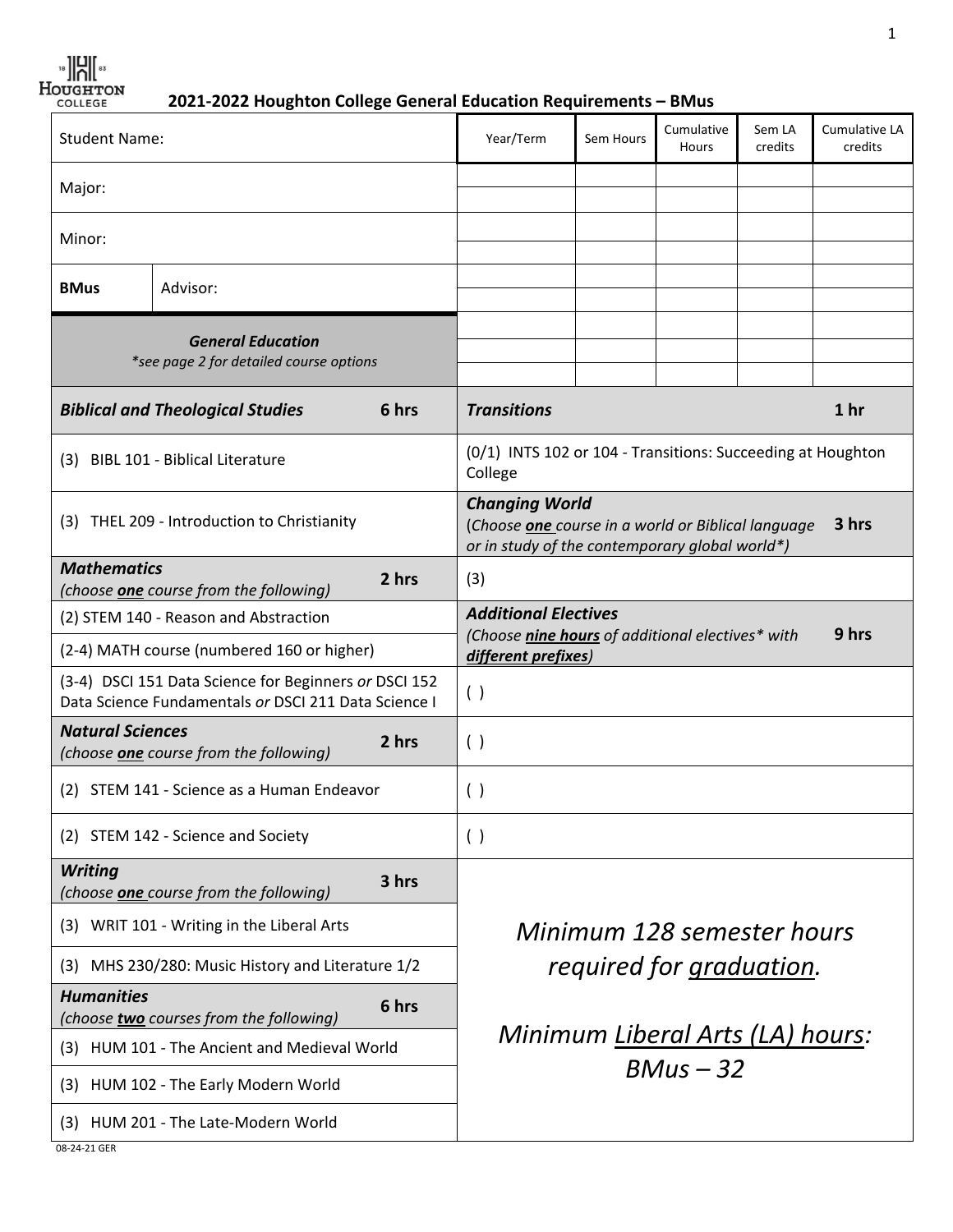**2021-2022 Houghton College General Education Requirements – BMus**

| <b>Student Name:</b>                                                                                          |          | Year/Term                                                              | Sem Hours                                                                                                                              | Cumulative<br>Hours | Sem LA<br>credits | Cumulative LA<br>credits |  |  |
|---------------------------------------------------------------------------------------------------------------|----------|------------------------------------------------------------------------|----------------------------------------------------------------------------------------------------------------------------------------|---------------------|-------------------|--------------------------|--|--|
| Major:                                                                                                        |          |                                                                        |                                                                                                                                        |                     |                   |                          |  |  |
| Minor:                                                                                                        |          |                                                                        |                                                                                                                                        |                     |                   |                          |  |  |
|                                                                                                               |          |                                                                        |                                                                                                                                        |                     |                   |                          |  |  |
| <b>BMus</b>                                                                                                   | Advisor: |                                                                        |                                                                                                                                        |                     |                   |                          |  |  |
| <b>General Education</b><br>*see page 2 for detailed course options                                           |          |                                                                        |                                                                                                                                        |                     |                   |                          |  |  |
| 6 hrs<br><b>Biblical and Theological Studies</b>                                                              |          | <b>Transitions</b><br>1 <sub>hr</sub>                                  |                                                                                                                                        |                     |                   |                          |  |  |
| (3) BIBL 101 - Biblical Literature                                                                            |          | (0/1) INTS 102 or 104 - Transitions: Succeeding at Houghton<br>College |                                                                                                                                        |                     |                   |                          |  |  |
| (3) THEL 209 - Introduction to Christianity                                                                   |          |                                                                        | <b>Changing World</b><br>3 hrs<br>(Choose one course in a world or Biblical language<br>or in study of the contemporary global world*) |                     |                   |                          |  |  |
| <b>Mathematics</b><br>(choose <b>one</b> course from the following)                                           |          | 2 hrs                                                                  | (3)                                                                                                                                    |                     |                   |                          |  |  |
| (2) STEM 140 - Reason and Abstraction                                                                         |          | <b>Additional Electives</b>                                            |                                                                                                                                        |                     |                   |                          |  |  |
| (2-4) MATH course (numbered 160 or higher)                                                                    |          |                                                                        | (Choose nine hours of additional electives* with<br>9 hrs<br>different prefixes)                                                       |                     |                   |                          |  |  |
| (3-4) DSCI 151 Data Science for Beginners or DSCI 152<br>Data Science Fundamentals or DSCI 211 Data Science I |          |                                                                        | ( )                                                                                                                                    |                     |                   |                          |  |  |
| <b>Natural Sciences</b><br>(choose one course from the following)                                             |          | 2 hrs                                                                  | ( )                                                                                                                                    |                     |                   |                          |  |  |
| (2) STEM 141 - Science as a Human Endeavor                                                                    |          | ( )                                                                    |                                                                                                                                        |                     |                   |                          |  |  |
| (2) STEM 142 - Science and Society                                                                            |          | ( )                                                                    |                                                                                                                                        |                     |                   |                          |  |  |
| <b>Writing</b><br>(choose one course from the following)                                                      |          | 3 hrs                                                                  |                                                                                                                                        |                     |                   |                          |  |  |
| (3) WRIT 101 - Writing in the Liberal Arts                                                                    |          |                                                                        | Minimum 128 semester hours<br>required for graduation.                                                                                 |                     |                   |                          |  |  |
| MHS 230/280: Music History and Literature 1/2<br>(3)                                                          |          |                                                                        |                                                                                                                                        |                     |                   |                          |  |  |
| <b>Humanities</b><br>6 hrs<br>(choose two courses from the following)                                         |          |                                                                        |                                                                                                                                        |                     |                   |                          |  |  |
| (3) HUM 101 - The Ancient and Medieval World                                                                  |          |                                                                        | Minimum Liberal Arts (LA) hours:                                                                                                       |                     |                   |                          |  |  |
| (3) HUM 102 - The Early Modern World                                                                          |          |                                                                        | $BMus - 32$                                                                                                                            |                     |                   |                          |  |  |
| (3) HUM 201 - The Late-Modern World                                                                           |          |                                                                        |                                                                                                                                        |                     |                   |                          |  |  |